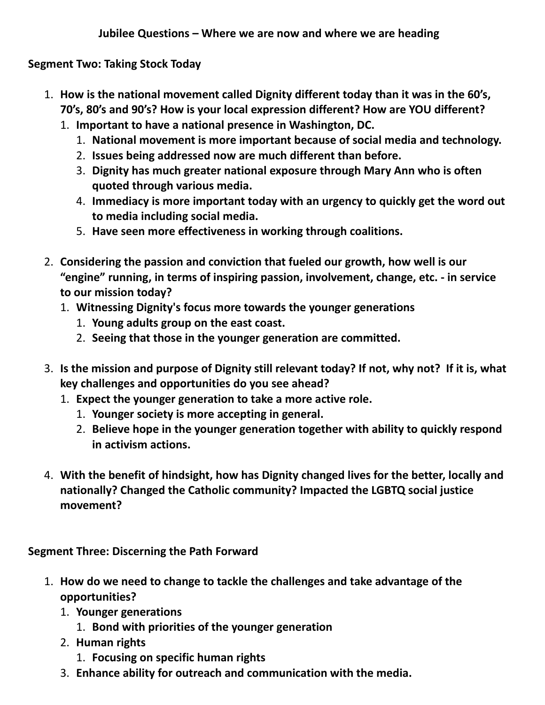**Segment Two: Taking Stock Today**

- 1. **How is the national movement called Dignity different today than it was in the 60's, 70's, 80's and 90's? How is your local expression different? How are YOU different?**
	- 1. **Important to have a national presence in Washington, DC.**
		- 1. **National movement is more important because of social media and technology.**
		- 2. **Issues being addressed now are much different than before.**
		- 3. **Dignity has much greater national exposure through Mary Ann who is often quoted through various media.**
		- 4. **Immediacy is more important today with an urgency to quickly get the word out to media including social media.**
		- 5. **Have seen more effectiveness in working through coalitions.**
- 2. **Considering the passion and conviction that fueled our growth, how well is our "engine" running, in terms of inspiring passion, involvement, change, etc. - in service to our mission today?**
	- 1. **Witnessing Dignity's focus more towards the younger generations**
		- 1. **Young adults group on the east coast.**
		- 2. **Seeing that those in the younger generation are committed.**
- 3. **Is the mission and purpose of Dignity still relevant today? If not, why not? If it is, what key challenges and opportunities do you see ahead?**
	- 1. **Expect the younger generation to take a more active role.**
		- 1. **Younger society is more accepting in general.**
		- 2. **Believe hope in the younger generation together with ability to quickly respond in activism actions.**
- 4. **With the benefit of hindsight, how has Dignity changed lives for the better, locally and nationally? Changed the Catholic community? Impacted the LGBTQ social justice movement?**

**Segment Three: Discerning the Path Forward**

- 1. **How do we need to change to tackle the challenges and take advantage of the opportunities?**
	- 1. **Younger generations**
		- 1. **Bond with priorities of the younger generation**
	- 2. **Human rights**
		- 1. **Focusing on specific human rights**
	- 3. **Enhance ability for outreach and communication with the media.**